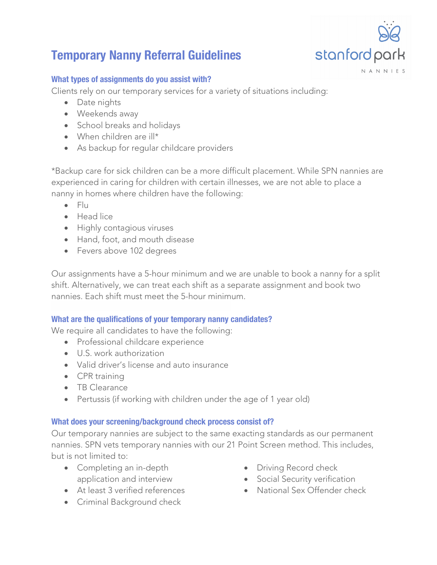# **Temporary Nanny Referral Guidelines**

#### **What types of assignments do you assist with?**

Clients rely on our temporary services for a variety of situations including:

- Date nights
- Weekends away
- School breaks and holidays
- When children are ill\*
- As backup for regular childcare providers

\*Backup care for sick children can be a more difficult placement. While SPN nannies are experienced in caring for children with certain illnesses, we are not able to place a nanny in homes where children have the following:

- Flu
- Head lice
- Highly contagious viruses
- Hand, foot, and mouth disease
- Fevers above 102 degrees

Our assignments have a 5-hour minimum and we are unable to book a nanny for a split shift. Alternatively, we can treat each shift as a separate assignment and book two nannies. Each shift must meet the 5-hour minimum.

# **What are the qualifications of your temporary nanny candidates?**

We require all candidates to have the following:

- Professional childcare experience
- U.S. work authorization
- Valid driver's license and auto insurance
- CPR training
- TB Clearance
- Pertussis (if working with children under the age of 1 year old)

# **What does your screening/background check process consist of?**

Our temporary nannies are subject to the same exacting standards as our permanent nannies. SPN vets temporary nannies with our 21 Point Screen method. This includes, but is not limited to:

- Completing an in-depth application and interview
- At least 3 verified references
- Criminal Background check
- Driving Record check
- Social Security verification
- National Sex Offender check

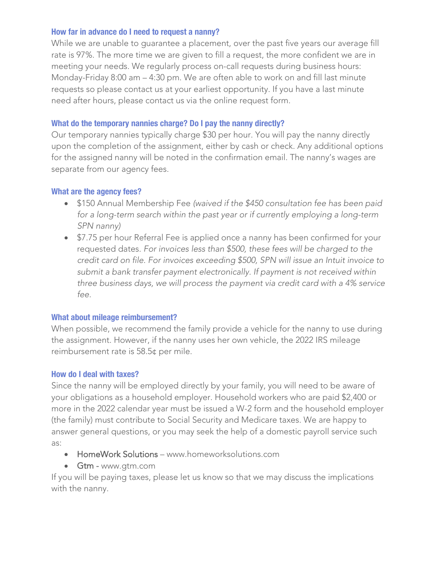#### **How far in advance do I need to request a nanny?**

While we are unable to guarantee a placement, over the past five years our average fill rate is 97%. The more time we are given to fill a request, the more confident we are in meeting your needs. We regularly process on-call requests during business hours: Monday-Friday 8:00 am – 4:30 pm. We are often able to work on and fill last minute requests so please contact us at your earliest opportunity. If you have a last minute need after hours, please contact us via the online request form.

# **What do the temporary nannies charge? Do I pay the nanny directly?**

Our temporary nannies typically charge \$30 per hour. You will pay the nanny directly upon the completion of the assignment, either by cash or check. Any additional options for the assigned nanny will be noted in the confirmation email. The nanny's wages are separate from our agency fees.

# **What are the agency fees?**

- \$150 Annual Membership Fee *(waived if the \$450 consultation fee has been paid for a long-term search within the past year or if currently employing a long-term SPN nanny)*
- \$7.75 per hour Referral Fee is applied once a nanny has been confirmed for your requested dates. *For invoices less than \$500, these fees will be charged to the credit card on file. For invoices exceeding \$500, SPN will issue an Intuit invoice to submit a bank transfer payment electronically. If payment is not received within three business days, we will process the payment via credit card with a 4% service fee.*

# **What about mileage reimbursement?**

When possible, we recommend the family provide a vehicle for the nanny to use during the assignment. However, if the nanny uses her own vehicle, the 2022 IRS mileage reimbursement rate is 58.5¢ per mile.

# **How do I deal with taxes?**

Since the nanny will be employed directly by your family, you will need to be aware of your obligations as a household employer. Household workers who are paid \$2,400 or more in the 2022 calendar year must be issued a W-2 form and the household employer (the family) must contribute to Social Security and Medicare taxes. We are happy to answer general questions, or you may seek the help of a domestic payroll service such as:

- HomeWork Solutions www.homeworksolutions.com
- Gtm www.gtm.com

If you will be paying taxes, please let us know so that we may discuss the implications with the nanny.